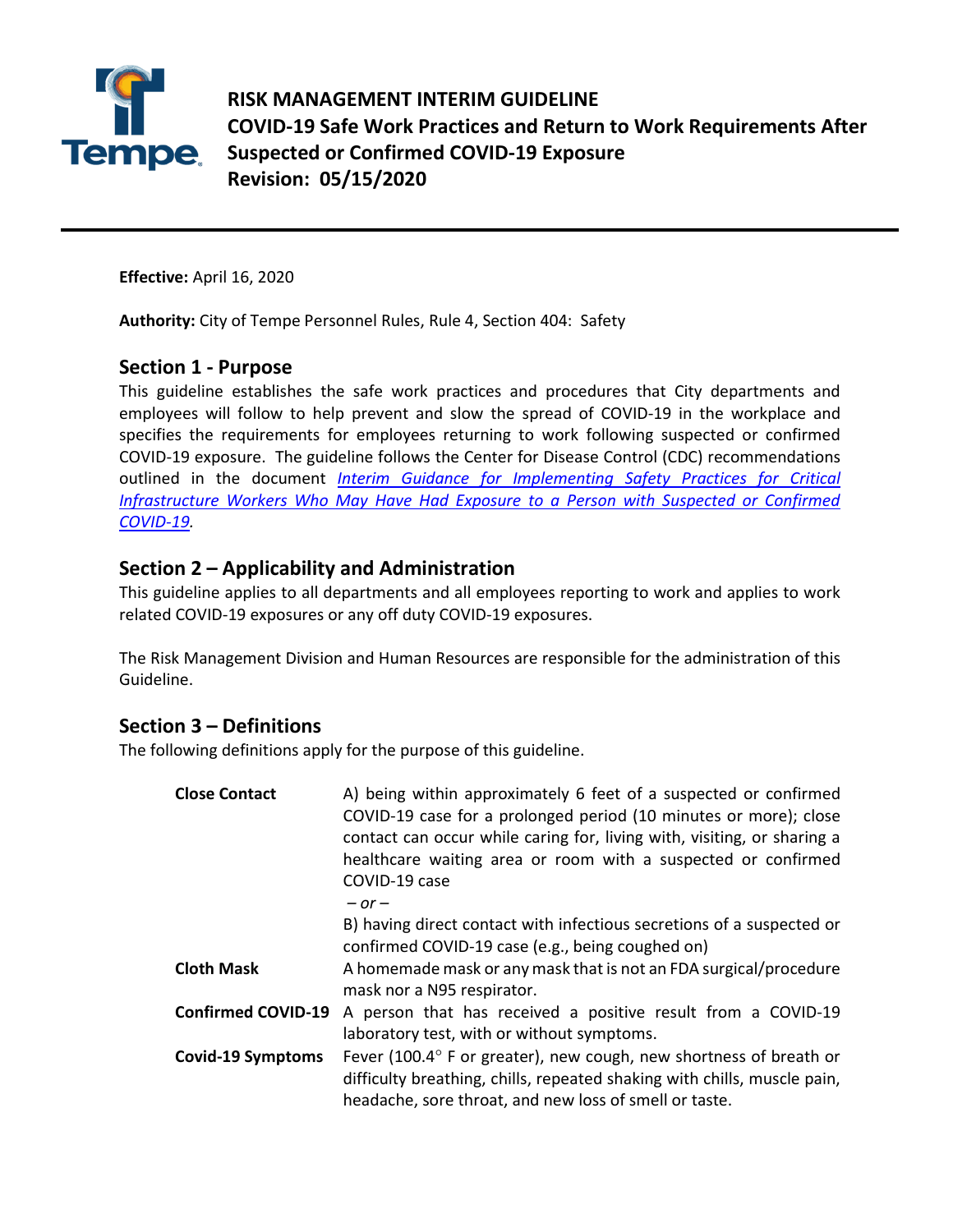

**RISK MANAGEMENT INTERIM GUIDELINE COVID-19 Safe Work Practices and Return to Work Requirements After Suspected or Confirmed COVID-19 Exposure Revision: 05/15/2020**

**Effective:** April 16, 2020

**Authority:** City of Tempe Personnel Rules, Rule 4, Section 404: Safety

#### **Section 1 - Purpose**

This guideline establishes the safe work practices and procedures that City departments and employees will follow to help prevent and slow the spread of COVID-19 in the workplace and specifies the requirements for employees returning to work following suspected or confirmed COVID-19 exposure. The guideline follows the Center for Disease Control (CDC) recommendations outlined in the document *[Interim Guidance for Implementing Safety Practices for Critical](https://www.cdc.gov/coronavirus/2019-ncov/community/critical-workers/implementing-safety-practices.html)  [Infrastructure Workers Who May Have Had Exposure to a Person with Suspected or Confirmed](https://www.cdc.gov/coronavirus/2019-ncov/community/critical-workers/implementing-safety-practices.html)  [COVID-19.](https://www.cdc.gov/coronavirus/2019-ncov/community/critical-workers/implementing-safety-practices.html)*

#### **Section 2 – Applicability and Administration**

This guideline applies to all departments and all employees reporting to work and applies to work related COVID-19 exposures or any off duty COVID-19 exposures.

The Risk Management Division and Human Resources are responsible for the administration of this Guideline.

## **Section 3 – Definitions**

The following definitions apply for the purpose of this guideline.

| <b>Close Contact</b>      | A) being within approximately 6 feet of a suspected or confirmed<br>COVID-19 case for a prolonged period (10 minutes or more); close<br>contact can occur while caring for, living with, visiting, or sharing a<br>healthcare waiting area or room with a suspected or confirmed<br>COVID-19 case<br>$-$ or $-$ |
|---------------------------|-----------------------------------------------------------------------------------------------------------------------------------------------------------------------------------------------------------------------------------------------------------------------------------------------------------------|
|                           | B) having direct contact with infectious secretions of a suspected or<br>confirmed COVID-19 case (e.g., being coughed on)                                                                                                                                                                                       |
| <b>Cloth Mask</b>         | A homemade mask or any mask that is not an FDA surgical/procedure<br>mask nor a N95 respirator.                                                                                                                                                                                                                 |
| <b>Confirmed COVID-19</b> | A person that has received a positive result from a COVID-19<br>laboratory test, with or without symptoms.                                                                                                                                                                                                      |
| <b>Covid-19 Symptoms</b>  | Fever (100.4° F or greater), new cough, new shortness of breath or<br>difficulty breathing, chills, repeated shaking with chills, muscle pain,<br>headache, sore throat, and new loss of smell or taste.                                                                                                        |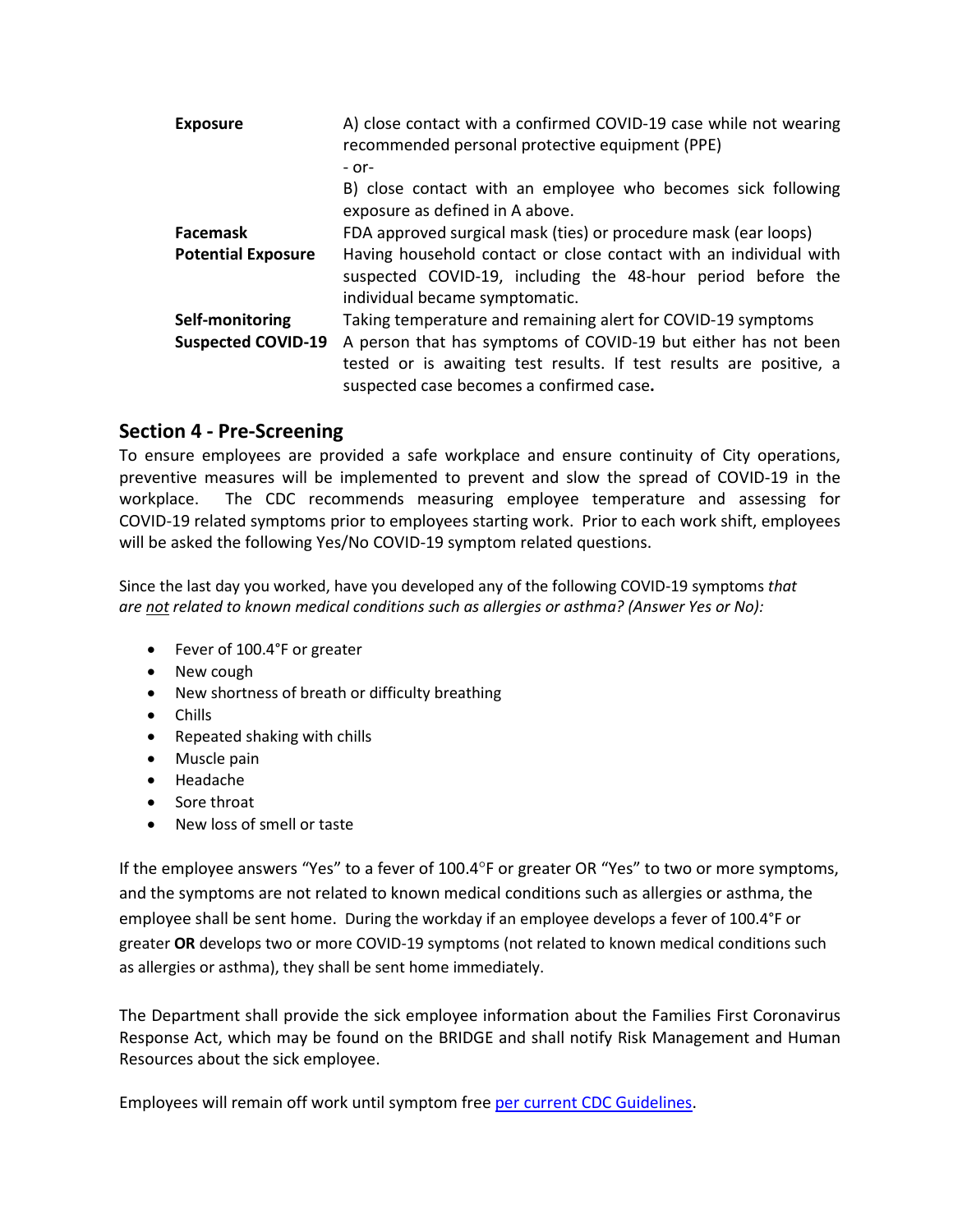| <b>Exposure</b>           | A) close contact with a confirmed COVID-19 case while not wearing<br>recommended personal protective equipment (PPE)<br>$-$ or-<br>B) close contact with an employee who becomes sick following |
|---------------------------|-------------------------------------------------------------------------------------------------------------------------------------------------------------------------------------------------|
|                           | exposure as defined in A above.                                                                                                                                                                 |
| <b>Facemask</b>           | FDA approved surgical mask (ties) or procedure mask (ear loops)                                                                                                                                 |
| <b>Potential Exposure</b> | Having household contact or close contact with an individual with<br>suspected COVID-19, including the 48-hour period before the<br>individual became symptomatic.                              |
| Self-monitoring           | Taking temperature and remaining alert for COVID-19 symptoms                                                                                                                                    |
| <b>Suspected COVID-19</b> | A person that has symptoms of COVID-19 but either has not been<br>tested or is awaiting test results. If test results are positive, a<br>suspected case becomes a confirmed case.               |

#### **Section 4 - Pre-Screening**

To ensure employees are provided a safe workplace and ensure continuity of City operations, preventive measures will be implemented to prevent and slow the spread of COVID-19 in the workplace. The CDC recommends measuring employee temperature and assessing for COVID-19 related symptoms prior to employees starting work. Prior to each work shift, employees will be asked the following Yes/No COVID-19 symptom related questions.

Since the last day you worked, have you developed any of the following COVID-19 symptoms *that are not related to known medical conditions such as allergies or asthma? (Answer Yes or No):* 

- Fever of 100.4°F or greater
- New cough
- New shortness of breath or difficulty breathing
- Chills
- Repeated shaking with chills
- Muscle pain
- Headache
- Sore throat
- New loss of smell or taste

If the employee answers "Yes" to a fever of 100.4°F or greater OR "Yes" to two or more symptoms, and the symptoms are not related to known medical conditions such as allergies or asthma, the employee shall be sent home. During the workday if an employee develops a fever of 100.4°F or greater **OR** develops two or more COVID-19 symptoms (not related to known medical conditions such as allergies or asthma), they shall be sent home immediately.

The Department shall provide the sick employee information about the Families First Coronavirus Response Act, which may be found on the BRIDGE and shall notify Risk Management and Human Resources about the sick employee.

Employees will remain off work until symptom free [per current CDC Guidelines.](https://www.cdc.gov/coronavirus/2019-ncov/if-you-are-sick/steps-when-sick.html)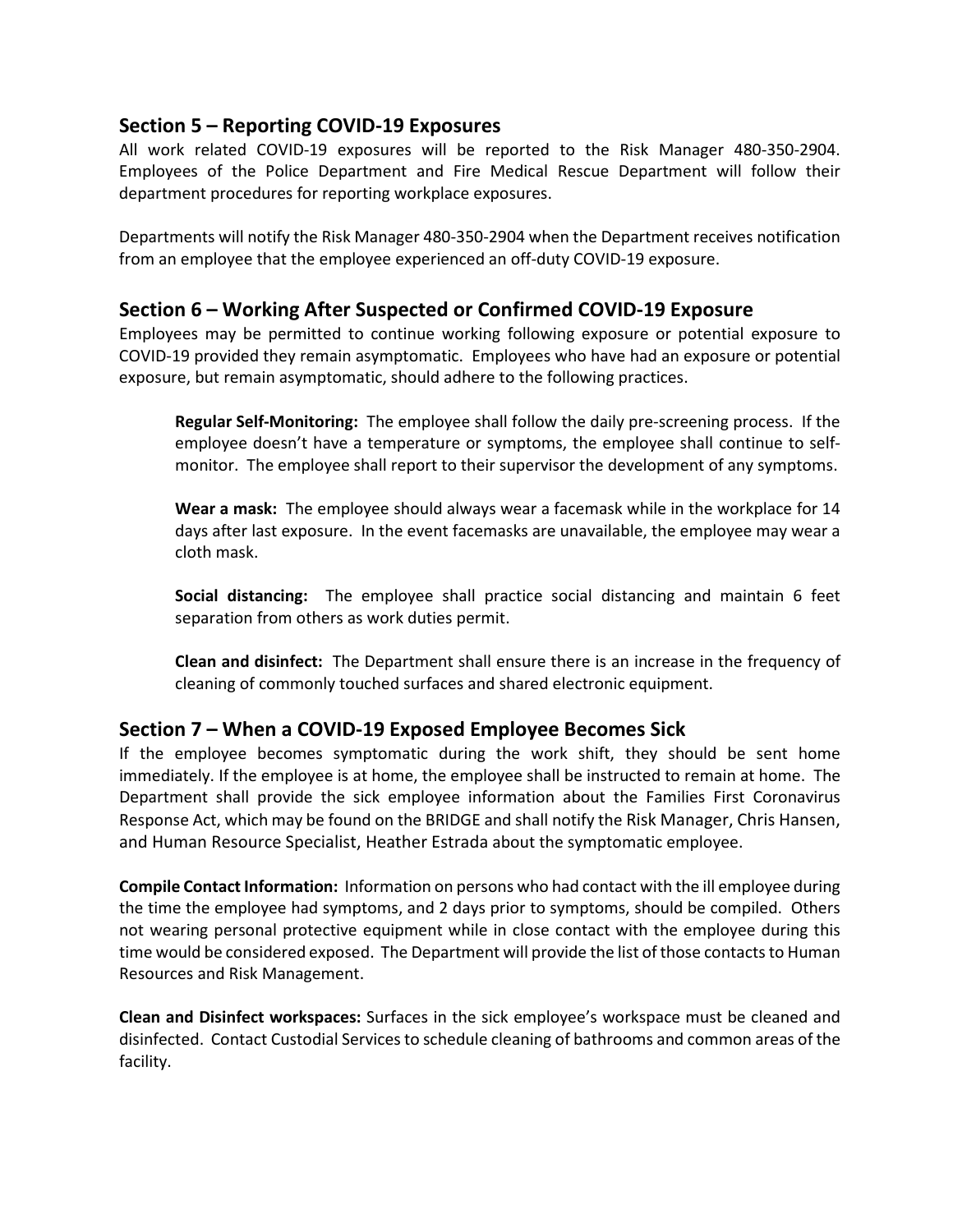## **Section 5 – Reporting COVID-19 Exposures**

All work related COVID-19 exposures will be reported to the Risk Manager 480-350-2904. Employees of the Police Department and Fire Medical Rescue Department will follow their department procedures for reporting workplace exposures.

Departments will notify the Risk Manager 480-350-2904 when the Department receives notification from an employee that the employee experienced an off-duty COVID-19 exposure.

#### **Section 6 – Working After Suspected or Confirmed COVID-19 Exposure**

Employees may be permitted to continue working following exposure or potential exposure to COVID-19 provided they remain asymptomatic. Employees who have had an exposure or potential exposure, but remain asymptomatic, should adhere to the following practices.

**Regular Self-Monitoring:** The employee shall follow the daily pre-screening process. If the employee doesn't have a temperature or symptoms, the employee shall continue to selfmonitor. The employee shall report to their supervisor the development of any symptoms.

**Wear a mask:** The employee should always wear a facemask while in the workplace for 14 days after last exposure. In the event facemasks are unavailable, the employee may wear a cloth mask.

**Social distancing:** The employee shall practice social distancing and maintain 6 feet separation from others as work duties permit.

**Clean and disinfect:** The Department shall ensure there is an increase in the frequency of cleaning of commonly touched surfaces and shared electronic equipment.

## **Section 7 – When a COVID-19 Exposed Employee Becomes Sick**

If the employee becomes symptomatic during the work shift, they should be sent home immediately. If the employee is at home, the employee shall be instructed to remain at home. The Department shall provide the sick employee information about the Families First Coronavirus Response Act, which may be found on the BRIDGE and shall notify the Risk Manager, Chris Hansen, and Human Resource Specialist, Heather Estrada about the symptomatic employee.

**Compile Contact Information:** Information on persons who had contact with the ill employee during the time the employee had symptoms, and 2 days prior to symptoms, should be compiled. Others not wearing personal protective equipment while in close contact with the employee during this time would be considered exposed. The Department will provide the list of those contacts to Human Resources and Risk Management.

**Clean and Disinfect workspaces:** Surfaces in the sick employee's workspace must be cleaned and disinfected. Contact Custodial Services to schedule cleaning of bathrooms and common areas of the facility.